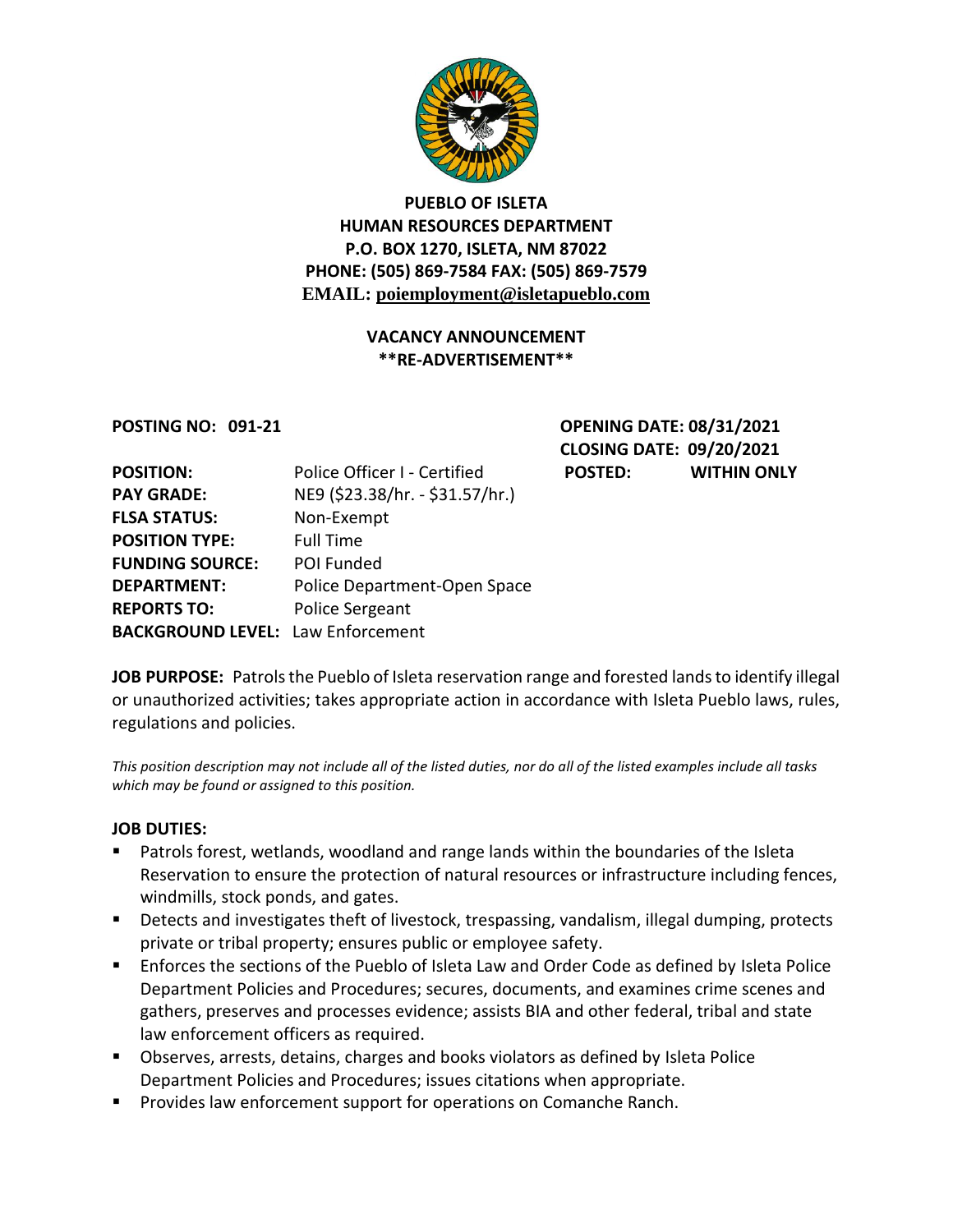

### **PUEBLO OF ISLETA HUMAN RESOURCES DEPARTMENT P.O. BOX 1270, ISLETA, NM 87022 PHONE: (505) 869-7584 FAX: (505) 869-7579 EMAIL: poiemployment@isletapueblo.com**

#### **VACANCY ANNOUNCEMENT \*\*RE-ADVERTISEMENT\*\***

**POSTING NO: 091-21 OPENING DATE: 08/31/2021 CLOSING DATE: 09/20/2021 POSTED: WITHIN ONLY** 

| <b>POSITION:</b>                         | Police Officer I - Certified    |
|------------------------------------------|---------------------------------|
| <b>PAY GRADE:</b>                        | NE9 (\$23.38/hr. - \$31.57/hr.) |
| <b>FLSA STATUS:</b>                      | Non-Exempt                      |
| <b>POSITION TYPE:</b>                    | <b>Full Time</b>                |
| <b>FUNDING SOURCE:</b>                   | POI Funded                      |
| <b>DEPARTMENT:</b>                       | Police Department-Open Space    |
| <b>REPORTS TO:</b>                       | Police Sergeant                 |
| <b>BACKGROUND LEVEL: Law Enforcement</b> |                                 |

**JOB PURPOSE:** Patrols the Pueblo of Isleta reservation range and forested lands to identify illegal or unauthorized activities; takes appropriate action in accordance with Isleta Pueblo laws, rules, regulations and policies.

*This position description may not include all of the listed duties, nor do all of the listed examples include all tasks which may be found or assigned to this position.*

#### **JOB DUTIES:**

- Patrols forest, wetlands, woodland and range lands within the boundaries of the Isleta Reservation to ensure the protection of natural resources or infrastructure including fences, windmills, stock ponds, and gates.
- **Detects and investigates theft of livestock, trespassing, vandalism, illegal dumping, protects** private or tribal property; ensures public or employee safety.
- **E** Enforces the sections of the Pueblo of Isleta Law and Order Code as defined by Isleta Police Department Policies and Procedures; secures, documents, and examines crime scenes and gathers, preserves and processes evidence; assists BIA and other federal, tribal and state law enforcement officers as required.
- Observes, arrests, detains, charges and books violators as defined by Isleta Police Department Policies and Procedures; issues citations when appropriate.
- **Provides law enforcement support for operations on Comanche Ranch.**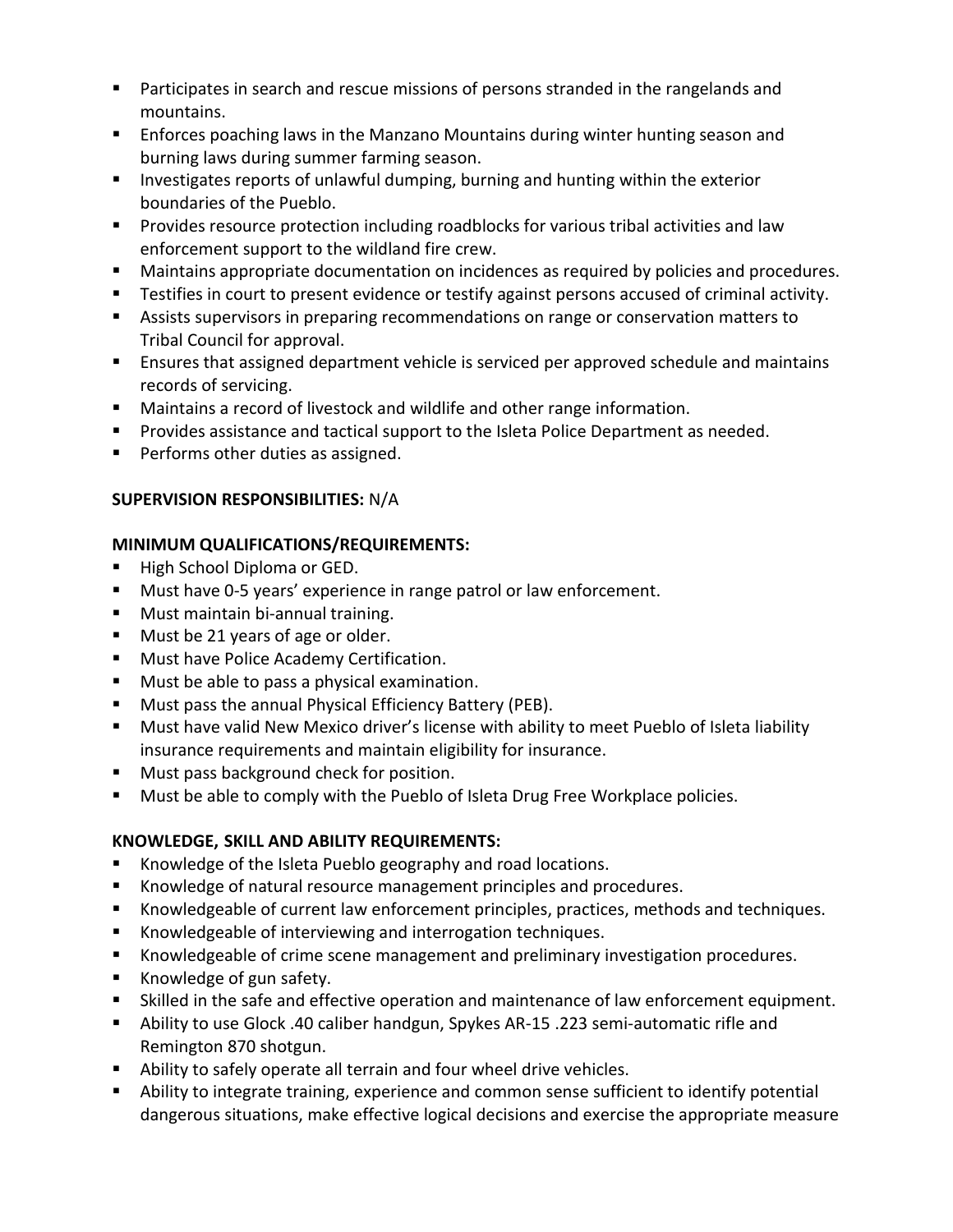- **Participates in search and rescue missions of persons stranded in the rangelands and** mountains.
- Enforces poaching laws in the Manzano Mountains during winter hunting season and burning laws during summer farming season.
- **Investigates reports of unlawful dumping, burning and hunting within the exterior** boundaries of the Pueblo.
- **Provides resource protection including roadblocks for various tribal activities and law** enforcement support to the wildland fire crew.
- **Maintains appropriate documentation on incidences as required by policies and procedures.**
- Testifies in court to present evidence or testify against persons accused of criminal activity.
- Assists supervisors in preparing recommendations on range or conservation matters to Tribal Council for approval.
- Ensures that assigned department vehicle is serviced per approved schedule and maintains records of servicing.
- Maintains a record of livestock and wildlife and other range information.
- **Provides assistance and tactical support to the Isleta Police Department as needed.**
- **Performs other duties as assigned.**

## **SUPERVISION RESPONSIBILITIES:** N/A

#### **MINIMUM QUALIFICATIONS/REQUIREMENTS:**

- High School Diploma or GED.
- **Must have 0-5 years' experience in range patrol or law enforcement.**
- **Must maintain bi-annual training.**
- **Must be 21 years of age or older.**
- **Must have Police Academy Certification.**
- **Must be able to pass a physical examination.**
- **Must pass the annual Physical Efficiency Battery (PEB).**
- **Must have valid New Mexico driver's license with ability to meet Pueblo of Isleta liability** insurance requirements and maintain eligibility for insurance.
- **Must pass background check for position.**
- **Must be able to comply with the Pueblo of Isleta Drug Free Workplace policies.**

# **KNOWLEDGE, SKILL AND ABILITY REQUIREMENTS:**

- Knowledge of the Isleta Pueblo geography and road locations.
- Knowledge of natural resource management principles and procedures.
- Knowledgeable of current law enforcement principles, practices, methods and techniques.
- **Knowledgeable of interviewing and interrogation techniques.**
- Knowledgeable of crime scene management and preliminary investigation procedures.
- Knowledge of gun safety.
- Skilled in the safe and effective operation and maintenance of law enforcement equipment.
- Ability to use Glock .40 caliber handgun, Spykes AR-15 .223 semi-automatic rifle and Remington 870 shotgun.
- Ability to safely operate all terrain and four wheel drive vehicles.
- Ability to integrate training, experience and common sense sufficient to identify potential dangerous situations, make effective logical decisions and exercise the appropriate measure